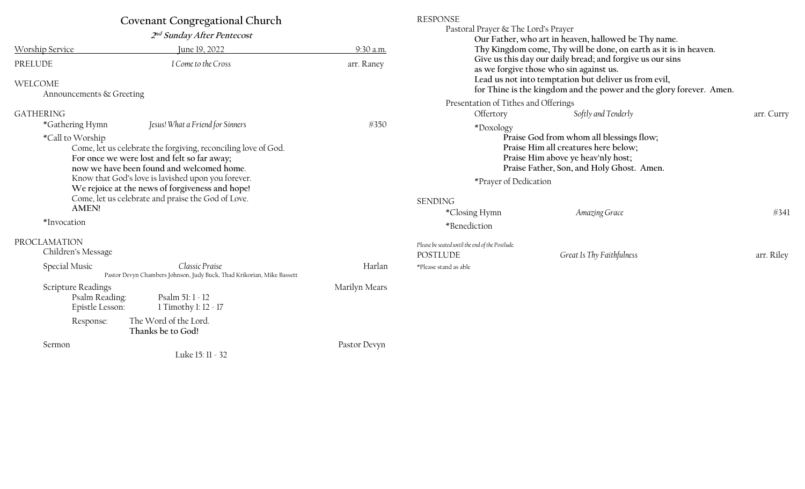| Covenant Congregational Church<br>2 <sup>nd</sup> Sunday After Pentecost |                                                                                                                                                                                                                                                                                                                                                               |               | <b>RESPONSE</b><br>Pastoral Prayer & The Lord's Prayer<br>Our Father, who art in heaven, hallowed be Thy name.                                                                                                                                                                |                                                                                                                              |            |
|--------------------------------------------------------------------------|---------------------------------------------------------------------------------------------------------------------------------------------------------------------------------------------------------------------------------------------------------------------------------------------------------------------------------------------------------------|---------------|-------------------------------------------------------------------------------------------------------------------------------------------------------------------------------------------------------------------------------------------------------------------------------|------------------------------------------------------------------------------------------------------------------------------|------------|
| Worship Service                                                          | June 19, 2022                                                                                                                                                                                                                                                                                                                                                 | 9:30 a.m.     | Thy Kingdom come, Thy will be done, on earth as it is in heaven.<br>Give us this day our daily bread; and forgive us our sins<br>as we forgive those who sin against us.                                                                                                      |                                                                                                                              |            |
| PRELUDE                                                                  | I Come to the Cross                                                                                                                                                                                                                                                                                                                                           | arr. Raney    |                                                                                                                                                                                                                                                                               |                                                                                                                              |            |
| WELCOME                                                                  |                                                                                                                                                                                                                                                                                                                                                               |               |                                                                                                                                                                                                                                                                               | Lead us not into temptation but deliver us from evil,<br>for Thine is the kingdom and the power and the glory forever. Amen. |            |
| Announcements & Greeting                                                 |                                                                                                                                                                                                                                                                                                                                                               |               |                                                                                                                                                                                                                                                                               |                                                                                                                              |            |
| <b>GATHERING</b>                                                         |                                                                                                                                                                                                                                                                                                                                                               |               | Presentation of Tithes and Offerings<br>Offertory                                                                                                                                                                                                                             | Softly and Tenderly                                                                                                          | arr. Curry |
| *Gathering Hymn<br>*Call to Worship<br><b>AMEN!</b><br>*Invocation       | Jesus! What a Friend for Sinners<br>Come, let us celebrate the forgiving, reconciling love of God.<br>For once we were lost and felt so far away;<br>now we have been found and welcomed home.<br>Know that God's love is lavished upon you forever.<br>We rejoice at the news of forgiveness and hope!<br>Come, let us celebrate and praise the God of Love. | $*350$        | *Doxology<br>Praise God from whom all blessings flow;<br>Praise Him all creatures here below;<br>Praise Him above ye heav'nly host;<br>Praise Father, Son, and Holy Ghost. Amen.<br>*Prayer of Dedication<br><b>SENDING</b><br>*Closing Hymn<br>Amazing Grace<br>*Benediction |                                                                                                                              | #341       |
| PROCLAMATION<br>Children's Message                                       |                                                                                                                                                                                                                                                                                                                                                               |               | Please be seated until the end of the Postlude.<br><b>POSTLUDE</b>                                                                                                                                                                                                            | Great Is Thy Faithfulness                                                                                                    | arr. Riley |
| Special Music                                                            | Classic Praise<br>Pastor Devyn Chambers Johnson, Judy Buck, Thad Krikorian, Mike Bassett                                                                                                                                                                                                                                                                      | Harlan        | *Please stand as able                                                                                                                                                                                                                                                         |                                                                                                                              |            |
| Scripture Readings<br>Psalm Reading:<br>Epistle Lesson:                  | Psalm 51: 1 - 12<br>1 Timothy 1: 12 - 17                                                                                                                                                                                                                                                                                                                      | Marilyn Mears |                                                                                                                                                                                                                                                                               |                                                                                                                              |            |
| Response:                                                                | The Word of the Lord.<br>Thanks be to God!                                                                                                                                                                                                                                                                                                                    |               |                                                                                                                                                                                                                                                                               |                                                                                                                              |            |
| Sermon                                                                   |                                                                                                                                                                                                                                                                                                                                                               | Pastor Devyn  |                                                                                                                                                                                                                                                                               |                                                                                                                              |            |

Luke 15: 11 - 32